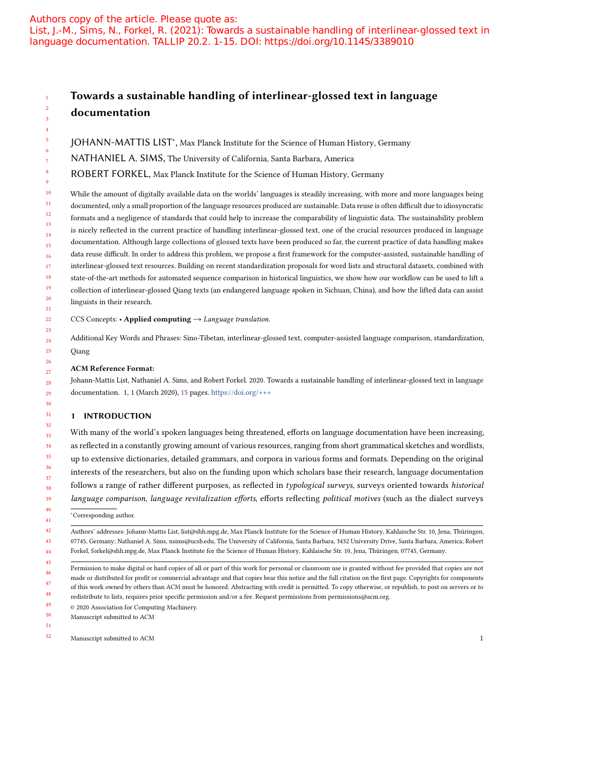## Authors copy of the article. Please quote as: List, J.-M., Sims, N., Forkel, R. (2021): Towards a sustainable handling of interlinear-glossed text in language documentation. TALLIP 20.2. 1-15. DOI: https://doi.org/10.1145/3389010

# Towards a sustainable handling of interlinear-glossed text in language documentation

JOHANN-MATTIS LIST<sup>\*</sup>, Max Planck Institute for the Science of Human History, Germany

NATHANIEL A. SIMS, The University of California, Santa Barbara, America

ROBERT FORKEL, Max Planck Institute for the Science of Human History, Germany

10 11 12 13 14 15 16 17 18 19 20 21 While the amount of digitally available data on the worlds' languages is steadily increasing, with more and more languages being documented, only a small proportion of the language resources produced are sustainable. Data reuse is often difficult due to idiosyncratic formats and a negligence of standards that could help to increase the comparability of linguistic data. The sustainability problem is nicely reflected in the current practice of handling interlinear-glossed text, one of the crucial resources produced in language documentation. Although large collections of glossed texts have been produced so far, the current practice of data handling makes data reuse difficult. In order to address this problem, we propose a first framework for the computer-assisted, sustainable handling of interlinear-glossed text resources. Building on recent standardization proposals for word lists and structural datasets, combined with state-of-the-art methods for automated sequence comparison in historical linguistics, we show how our workflow can be used to lift a collection of interlinear-glossed Qiang texts (an endangered language spoken in Sichuan, China), and how the lifted data can assist linguists in their research.

22 CCS Concepts: • Applied computing  $\rightarrow$  Language translation.

24 25 Additional Key Words and Phrases: Sino-Tibetan, interlinear-glossed text, computer-assisted language comparison, standardization, Qiang

#### ACM Reference Format:

28 29 Johann-Mattis List, Nathaniel A. Sims, and Robert Forkel. 2020. Towards a sustainable handling of interlinear-glossed text in language documentation. 1, 1 (March 2020), 15 pages. https://doi.org/+++

### 1 INTRODUCTION

32 33 34 35 36 37 38 39 40 With many of the world's spoken languages being threatened, efforts on language documentation have been increasing, as reflected in a constantly growing amount of various resources, ranging from short grammatical sketches and wordlists, up to extensive dictionaries, detailed grammars, and corpora in various forms and formats. Depending on the original interests of the researchers, but also on the funding upon which scholars base their research, language documentation follows a range of rather different purposes, as reflected in typological surveys, surveys oriented towards historical language comparison, language revitalization efforts, efforts reflecting political motives (such as the dialect surveys

41 ∗ Corresponding author.

42 43 44 Authors' addresses: Johann-Mattis List, list@shh.mpg.de, Max Planck Institute for the Science of Human History, Kahlaische Str. 10, Jena, Thüringen, 07745, Germany; Nathaniel A. Sims, nsims@ucsb.edu, The University of California, Santa Barbara, 3432 University Drive, Santa Barbara, America; Robert Forkel, forkel@shh.mpg.de, Max Planck Institute for the Science of Human History, Kahlaische Str. 10, Jena, Thüringen, 07745, Germany.

49 © 2020 Association for Computing Machinery.

50 Manuscript submitted to ACM

51

23

26 27

<sup>45</sup> 46 47 48 Permission to make digital or hard copies of all or part of this work for personal or classroom use is granted without fee provided that copies are not made or distributed for profit or commercial advantage and that copies bear this notice and the full citation on the first page. Copyrights for components of this work owned by others than ACM must be honored. Abstracting with credit is permitted. To copy otherwise, or republish, to post on servers or to redistribute to lists, requires prior specific permission and/or a fee. Request permissions from permissions@acm.org.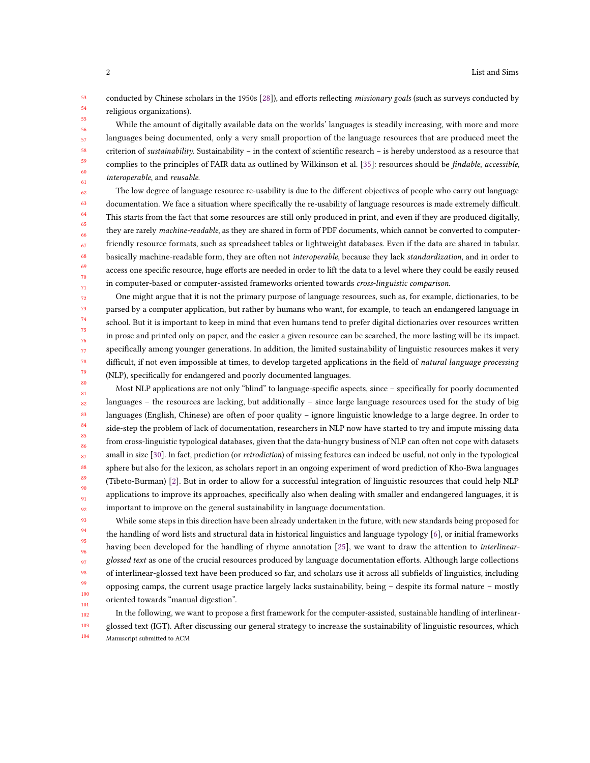53 54 55 conducted by Chinese scholars in the 1950s [28]), and efforts reflecting missionary goals (such as surveys conducted by religious organizations).

While the amount of digitally available data on the worlds' languages is steadily increasing, with more and more languages being documented, only a very small proportion of the language resources that are produced meet the criterion of sustainability. Sustainability – in the context of scientific research – is hereby understood as a resource that complies to the principles of FAIR data as outlined by Wilkinson et al. [35]: resources should be *findable, accessible*, interoperable, and reusable.

62 63 64 65 66 67 68 69 70 71 The low degree of language resource re-usability is due to the different objectives of people who carry out language documentation. We face a situation where specifically the re-usability of language resources is made extremely difficult. This starts from the fact that some resources are still only produced in print, and even if they are produced digitally, they are rarely machine-readable, as they are shared in form of PDF documents, which cannot be converted to computerfriendly resource formats, such as spreadsheet tables or lightweight databases. Even if the data are shared in tabular, basically machine-readable form, they are often not interoperable, because they lack standardization, and in order to access one specific resource, huge efforts are needed in order to lift the data to a level where they could be easily reused in computer-based or computer-assisted frameworks oriented towards cross-linguistic comparison.

72 73 74 75 76 77 78 79 80 One might argue that it is not the primary purpose of language resources, such as, for example, dictionaries, to be parsed by a computer application, but rather by humans who want, for example, to teach an endangered language in school. But it is important to keep in mind that even humans tend to prefer digital dictionaries over resources written in prose and printed only on paper, and the easier a given resource can be searched, the more lasting will be its impact, specifically among younger generations. In addition, the limited sustainability of linguistic resources makes it very difficult, if not even impossible at times, to develop targeted applications in the field of natural language processing (NLP), specifically for endangered and poorly documented languages.

81 82 83 84 85 86 87 88 89 90 91 92 Most NLP applications are not only "blind" to language-specific aspects, since – specifically for poorly documented languages – the resources are lacking, but additionally – since large language resources used for the study of big languages (English, Chinese) are often of poor quality – ignore linguistic knowledge to a large degree. In order to side-step the problem of lack of documentation, researchers in NLP now have started to try and impute missing data from cross-linguistic typological databases, given that the data-hungry business of NLP can often not cope with datasets small in size [30]. In fact, prediction (or *retrodiction*) of missing features can indeed be useful, not only in the typological sphere but also for the lexicon, as scholars report in an ongoing experiment of word prediction of Kho-Bwa languages (Tibeto-Burman) [2]. But in order to allow for a successful integration of linguistic resources that could help NLP applications to improve its approaches, specifically also when dealing with smaller and endangered languages, it is important to improve on the general sustainability in language documentation.

93 94 99 100 101 While some steps in this direction have been already undertaken in the future, with new standards being proposed for the handling of word lists and structural data in historical linguistics and language typology [6], or initial frameworks having been developed for the handling of rhyme annotation [25], we want to draw the attention to *interlinear*glossed text as one of the crucial resources produced by language documentation efforts. Although large collections of interlinear-glossed text have been produced so far, and scholars use it across all subfields of linguistics, including opposing camps, the current usage practice largely lacks sustainability, being – despite its formal nature – mostly oriented towards "manual digestion".

102 103 104 In the following, we want to propose a first framework for the computer-assisted, sustainable handling of interlinearglossed text (IGT). After discussing our general strategy to increase the sustainability of linguistic resources, which Manuscript submitted to ACM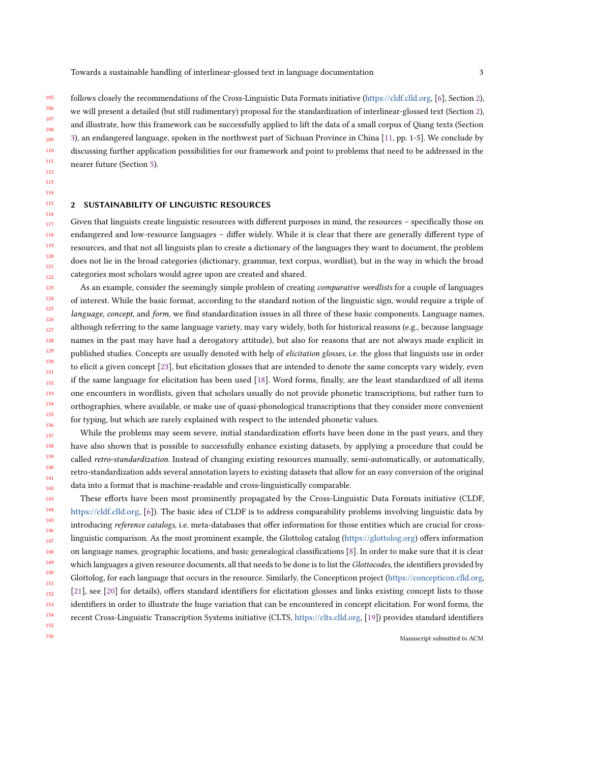105 110 111 112 follows closely the recommendations of the Cross-Linguistic Data Formats initiative (https://cldf.clld.org, [6], Section 2), we will present a detailed (but still rudimentary) proposal for the standardization of interlinear-glossed text (Section 2), and illustrate, how this framework can be successfully applied to lift the data of a small corpus of Qiang texts (Section 3), an endangered language, spoken in the northwest part of Sichuan Province in China [11, pp. 1-5]. We conclude by discussing further application possibilities for our framework and point to problems that need to be addressed in the nearer future (Section 5).

#### 2 SUSTAINABILITY OF LINGUISTIC RESOURCES

156

Given that linguists create linguistic resources with different purposes in mind, the resources – specifically those on endangered and low-resource languages – differ widely. While it is clear that there are generally different type of resources, and that not all linguists plan to create a dictionary of the languages they want to document, the problem does not lie in the broad categories (dictionary, grammar, text corpus, wordlist), but in the way in which the broad categories most scholars would agree upon are created and shared.

123 124 125 126 127 128 129 130 131 132 133 134 135 136 As an example, consider the seemingly simple problem of creating *comparative wordlists* for a couple of languages of interest. While the basic format, according to the standard notion of the linguistic sign, would require a triple of language, concept, and form, we find standardization issues in all three of these basic components. Language names, although referring to the same language variety, may vary widely, both for historical reasons (e.g., because language names in the past may have had a derogatory attitude), but also for reasons that are not always made explicit in published studies. Concepts are usually denoted with help of elicitation glosses, i.e. the gloss that linguists use in order to elicit a given concept [23], but elicitation glosses that are intended to denote the same concepts vary widely, even if the same language for elicitation has been used [18]. Word forms, finally, are the least standardized of all items one encounters in wordlists, given that scholars usually do not provide phonetic transcriptions, but rather turn to orthographies, where available, or make use of quasi-phonological transcriptions that they consider more convenient for typing, but which are rarely explained with respect to the intended phonetic values.

137 138 139 140 141 142 While the problems may seem severe, initial standardization efforts have been done in the past years, and they have also shown that is possible to successfully enhance existing datasets, by applying a procedure that could be called retro-standardization. Instead of changing existing resources manually, semi-automatically, or automatically, retro-standardization adds several annotation layers to existing datasets that allow for an easy conversion of the original data into a format that is machine-readable and cross-linguistically comparable.

143 144 145 146 147 148 149 150 151 152 153 154 155 These efforts have been most prominently propagated by the Cross-Linguistic Data Formats initiative (CLDF, https://cldf.clld.org, [6]). The basic idea of CLDF is to address comparability problems involving linguistic data by introducing reference catalogs, i.e. meta-databases that offer information for those entities which are crucial for crosslinguistic comparison. As the most prominent example, the Glottolog catalog (https://glottolog.org) offers information on language names, geographic locations, and basic genealogical classifications [8]. In order to make sure that it is clear which languages a given resource documents, all that needs to be done is to list the *Glottocodes*, the identifiers provided by Glottolog, for each language that occurs in the resource. Similarly, the Concepticon project (https://concepticon.clld.org, [21], see [20] for details), offers standard identifiers for elicitation glosses and links existing concept lists to those identifiers in order to illustrate the huge variation that can be encountered in concept elicitation. For word forms, the recent Cross-Linguistic Transcription Systems initiative (CLTS, https://clts.clld.org, [19]) provides standard identifiers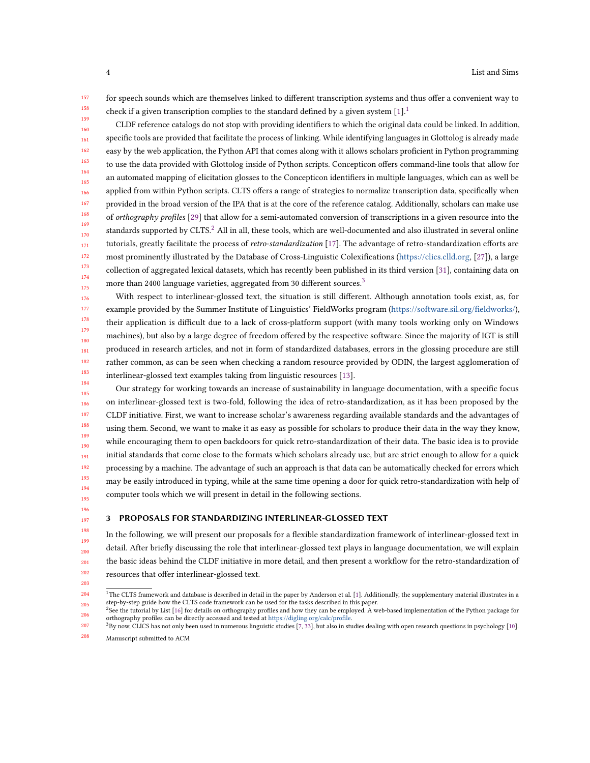157 158 159 for speech sounds which are themselves linked to different transcription systems and thus offer a convenient way to check if a given transcription complies to the standard defined by a given system  $[1]$ <sup>1</sup>

160 161 162 163 164 165 166 167 168 169 170 171 172 173 174 175 CLDF reference catalogs do not stop with providing identifiers to which the original data could be linked. In addition, specific tools are provided that facilitate the process of linking. While identifying languages in Glottolog is already made easy by the web application, the Python API that comes along with it allows scholars proficient in Python programming to use the data provided with Glottolog inside of Python scripts. Concepticon offers command-line tools that allow for an automated mapping of elicitation glosses to the Concepticon identifiers in multiple languages, which can as well be applied from within Python scripts. CLTS offers a range of strategies to normalize transcription data, specifically when provided in the broad version of the IPA that is at the core of the reference catalog. Additionally, scholars can make use of orthography profiles [29] that allow for a semi-automated conversion of transcriptions in a given resource into the standards supported by CLTS.<sup>2</sup> All in all, these tools, which are well-documented and also illustrated in several online tutorials, greatly facilitate the process of retro-standardization [17]. The advantage of retro-standardization efforts are most prominently illustrated by the Database of Cross-Linguistic Colexifications (https://clics.clld.org, [27]), a large collection of aggregated lexical datasets, which has recently been published in its third version [31], containing data on more than 2400 language varieties, aggregated from 30 different sources. $^3$ 

176 177 178 179 180 181 182 183 184 With respect to interlinear-glossed text, the situation is still different. Although annotation tools exist, as, for example provided by the Summer Institute of Linguistics' FieldWorks program (https://software.sil.org/fieldworks/), their application is difficult due to a lack of cross-platform support (with many tools working only on Windows machines), but also by a large degree of freedom offered by the respective software. Since the majority of IGT is still produced in research articles, and not in form of standardized databases, errors in the glossing procedure are still rather common, as can be seen when checking a random resource provided by ODIN, the largest agglomeration of interlinear-glossed text examples taking from linguistic resources [13].

185 186 187 188 189 190 191 192 193 194 195 Our strategy for working towards an increase of sustainability in language documentation, with a specific focus on interlinear-glossed text is two-fold, following the idea of retro-standardization, as it has been proposed by the CLDF initiative. First, we want to increase scholar's awareness regarding available standards and the advantages of using them. Second, we want to make it as easy as possible for scholars to produce their data in the way they know, while encouraging them to open backdoors for quick retro-standardization of their data. The basic idea is to provide initial standards that come close to the formats which scholars already use, but are strict enough to allow for a quick processing by a machine. The advantage of such an approach is that data can be automatically checked for errors which may be easily introduced in typing, while at the same time opening a door for quick retro-standardization with help of computer tools which we will present in detail in the following sections.

#### PROPOSALS FOR STANDARDIZING INTERLINEAR-GLOSSED TEXT

In the following, we will present our proposals for a flexible standardization framework of interlinear-glossed text in detail. After briefly discussing the role that interlinear-glossed text plays in language documentation, we will explain the basic ideas behind the CLDF initiative in more detail, and then present a workflow for the retro-standardization of resources that offer interlinear-glossed text.

<sup>204</sup> 205  $^1$ The CLTS framework and database is described in detail in the paper by Anderson et al. [1]. Additionally, the supplementary material illustrates in a step-by-step guide how the CLTS code framework can be used for the tasks described in this paper.

<sup>206</sup>  ${}^{2}$ See the tutorial by List [16] for details on orthography profiles and how they can be employed. A web-based implementation of the Python package for orthography profiles can be directly accessed and tested at https://digling.org/calc/profile.

<sup>207</sup> 208 3By now, CLICS has not only been used in numerous linguistic studies [7, 33], but also in studies dealing with open research questions in psychology [10].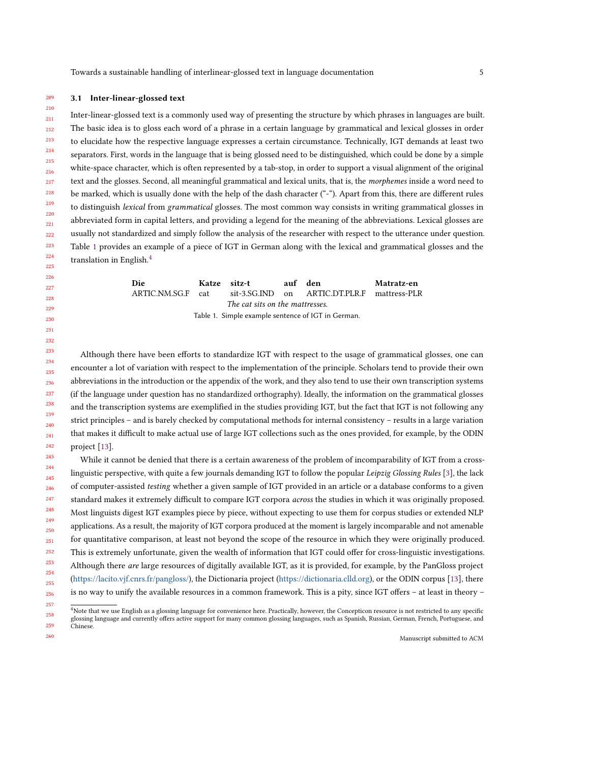#### 209 3.1 Inter-linear-glossed text

210

257

260

211 212 213 214 215 216 217 218 219 220 221 222 223 224 225 Inter-linear-glossed text is a commonly used way of presenting the structure by which phrases in languages are built. The basic idea is to gloss each word of a phrase in a certain language by grammatical and lexical glosses in order to elucidate how the respective language expresses a certain circumstance. Technically, IGT demands at least two separators. First, words in the language that is being glossed need to be distinguished, which could be done by a simple white-space character, which is often represented by a tab-stop, in order to support a visual alignment of the original text and the glosses. Second, all meaningful grammatical and lexical units, that is, the morphemes inside a word need to be marked, which is usually done with the help of the dash character ("-"). Apart from this, there are different rules to distinguish lexical from grammatical glosses. The most common way consists in writing grammatical glosses in abbreviated form in capital letters, and providing a legend for the meaning of the abbreviations. Lexical glosses are usually not standardized and simply follow the analysis of the researcher with respect to the utterance under question. Table 1 provides an example of a piece of IGT in German along with the lexical and grammatical glosses and the translation in English.4

> Die Katze sitz-t auf den Matratz-en ARTIC.NM.SG.F cat sit-3.SG.IND on ARTIC.DT.PLR.F mattress-PLR The cat sits on the mattresses. Table 1. Simple example sentence of IGT in German.

Although there have been efforts to standardize IGT with respect to the usage of grammatical glosses, one can encounter a lot of variation with respect to the implementation of the principle. Scholars tend to provide their own abbreviations in the introduction or the appendix of the work, and they also tend to use their own transcription systems (if the language under question has no standardized orthography). Ideally, the information on the grammatical glosses and the transcription systems are exemplified in the studies providing IGT, but the fact that IGT is not following any strict principles – and is barely checked by computational methods for internal consistency – results in a large variation that makes it difficult to make actual use of large IGT collections such as the ones provided, for example, by the ODIN project [13].

243 244 245 246 247 248 249 250 251 252 253 254 255 256 While it cannot be denied that there is a certain awareness of the problem of incomparability of IGT from a crosslinguistic perspective, with quite a few journals demanding IGT to follow the popular Leipzig Glossing Rules [3], the lack of computer-assisted testing whether a given sample of IGT provided in an article or a database conforms to a given standard makes it extremely difficult to compare IGT corpora *across* the studies in which it was originally proposed. Most linguists digest IGT examples piece by piece, without expecting to use them for corpus studies or extended NLP applications. As a result, the majority of IGT corpora produced at the moment is largely incomparable and not amenable for quantitative comparison, at least not beyond the scope of the resource in which they were originally produced. This is extremely unfortunate, given the wealth of information that IGT could offer for cross-linguistic investigations. Although there are large resources of digitally available IGT, as it is provided, for example, by the PanGloss project (https://lacito.vjf.cnrs.fr/pangloss/), the Dictionaria project (https://dictionaria.clld.org), or the ODIN corpus [13], there is no way to unify the available resources in a common framework. This is a pity, since IGT offers – at least in theory –

<sup>258</sup> 259 <sup>4</sup>Note that we use English as a glossing language for convenience here. Practically, however, the Concepticon resource is not restricted to any specific glossing language and currently offers active support for many common glossing languages, such as Spanish, Russian, German, French, Portuguese, and Chinese.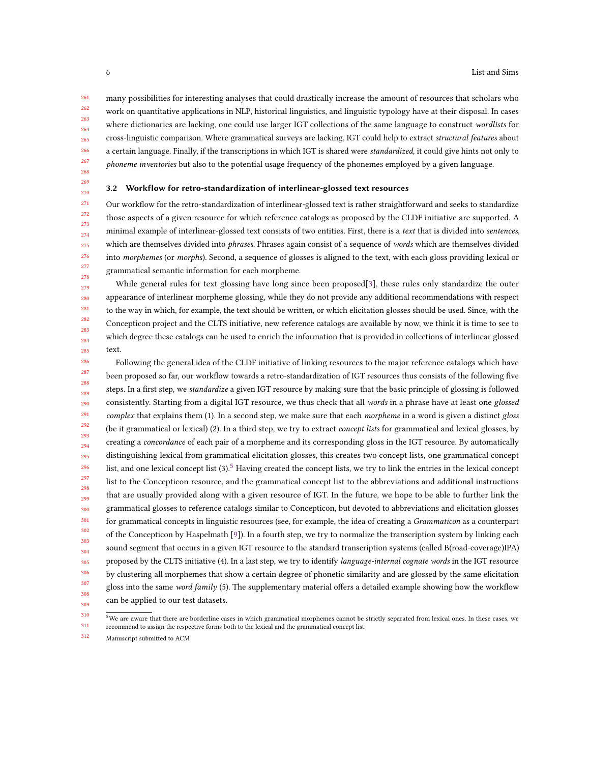261 262 263 264 265 266 267 268 many possibilities for interesting analyses that could drastically increase the amount of resources that scholars who work on quantitative applications in NLP, historical linguistics, and linguistic typology have at their disposal. In cases where dictionaries are lacking, one could use larger IGT collections of the same language to construct wordlists for cross-linguistic comparison. Where grammatical surveys are lacking, IGT could help to extract structural features about a certain language. Finally, if the transcriptions in which IGT is shared were standardized, it could give hints not only to phoneme inventories but also to the potential usage frequency of the phonemes employed by a given language.

269 270

#### 3.2 Workflow for retro-standardization of interlinear-glossed text resources

271 272 273 274 275 276 277 278 Our workflow for the retro-standardization of interlinear-glossed text is rather straightforward and seeks to standardize those aspects of a given resource for which reference catalogs as proposed by the CLDF initiative are supported. A minimal example of interlinear-glossed text consists of two entities. First, there is a text that is divided into sentences, which are themselves divided into *phrases*. Phrases again consist of a sequence of words which are themselves divided into *morphemes* (or *morphs*). Second, a sequence of glosses is aligned to the text, with each gloss providing lexical or grammatical semantic information for each morpheme.

279 280 281 282  $283$ 284 285 While general rules for text glossing have long since been proposed[3], these rules only standardize the outer appearance of interlinear morpheme glossing, while they do not provide any additional recommendations with respect to the way in which, for example, the text should be written, or which elicitation glosses should be used. Since, with the Concepticon project and the CLTS initiative, new reference catalogs are available by now, we think it is time to see to which degree these catalogs can be used to enrich the information that is provided in collections of interlinear glossed text.

286 287 288 289 290 291 292 293 294 295 296 297 298 299 300 301 302 303 304 305 306 307 308 309 Following the general idea of the CLDF initiative of linking resources to the major reference catalogs which have been proposed so far, our workflow towards a retro-standardization of IGT resources thus consists of the following five steps. In a first step, we standardize a given IGT resource by making sure that the basic principle of glossing is followed consistently. Starting from a digital IGT resource, we thus check that all words in a phrase have at least one glossed complex that explains them (1). In a second step, we make sure that each morpheme in a word is given a distinct gloss (be it grammatical or lexical) (2). In a third step, we try to extract *concept lists* for grammatical and lexical glosses, by creating a concordance of each pair of a morpheme and its corresponding gloss in the IGT resource. By automatically distinguishing lexical from grammatical elicitation glosses, this creates two concept lists, one grammatical concept list, and one lexical concept list  $(3)$ .<sup>5</sup> Having created the concept lists, we try to link the entries in the lexical concept list to the Concepticon resource, and the grammatical concept list to the abbreviations and additional instructions that are usually provided along with a given resource of IGT. In the future, we hope to be able to further link the grammatical glosses to reference catalogs similar to Concepticon, but devoted to abbreviations and elicitation glosses for grammatical concepts in linguistic resources (see, for example, the idea of creating a *Grammaticon* as a counterpart of the Concepticon by Haspelmath [9]). In a fourth step, we try to normalize the transcription system by linking each sound segment that occurs in a given IGT resource to the standard transcription systems (called B(road-coverage)IPA) proposed by the CLTS initiative (4). In a last step, we try to identify language-internal cognate words in the IGT resource by clustering all morphemes that show a certain degree of phonetic similarity and are glossed by the same elicitation gloss into the same word family (5). The supplementary material offers a detailed example showing how the workflow can be applied to our test datasets.

<sup>310</sup> 311  $5$ We are aware that there are borderline cases in which grammatical morphemes cannot be strictly separated from lexical ones. In these cases, we recommend to assign the respective forms both to the lexical and the grammatical concept list.

<sup>312</sup> Manuscript submitted to ACM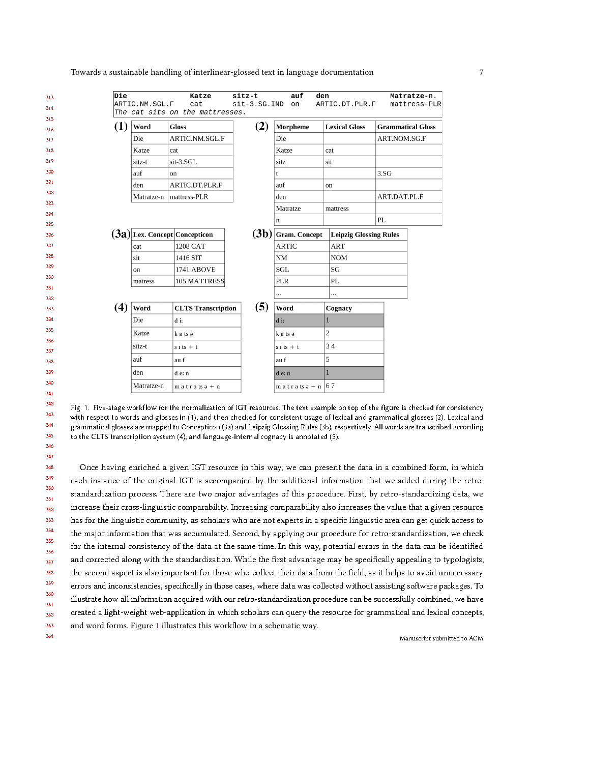Towards a sustainable handling of interlinear-glossed text in language documentation

| Die<br>313 |                | Katze                                  | sitz-t         | auf<br>den           |                               |                          | Matratze-n.  |
|------------|----------------|----------------------------------------|----------------|----------------------|-------------------------------|--------------------------|--------------|
| 314        | ARTIC.NM.SGL.F | cat<br>The cat sits on the mattresses. | $sit-3.SG.IND$ | on                   | ARTIC.DT.PLR.F                |                          | mattress-PLR |
| 315        |                |                                        |                |                      |                               |                          |              |
| 316        | (1)<br>Word    | <b>Gloss</b>                           | (2)            | Morpheme             | <b>Lexical Gloss</b>          | <b>Grammatical Gloss</b> |              |
| 317        | Die            | ARTIC.NM.SGL.F                         |                | Die                  |                               | ART.NOM.SG.F             |              |
| 318        | Katze          | cat                                    |                | Katze                | cat                           |                          |              |
|            | sitz-t         | sit-3.SGL                              |                | sitz                 | sit                           |                          |              |
|            | auf            | on                                     |                | t                    |                               | 3.SG                     |              |
|            | den            | ARTIC.DT.PLR.F                         |                | auf                  | on                            |                          |              |
|            |                | Matratze-n   mattress-PLR              |                | den                  |                               | ART.DAT.PL.F             |              |
|            |                |                                        |                | Matratze             | mattress                      |                          |              |
|            |                |                                        |                | n                    |                               | PL                       |              |
|            |                | $(3a)$ Lex. Concept Concepticon        | (3b)           | <b>Gram.</b> Concept | <b>Leipzig Glossing Rules</b> |                          |              |
|            | cat            | 1208 CAT                               |                | <b>ARTIC</b>         | <b>ART</b>                    |                          |              |
|            | sit            | 1416 SIT                               |                | NM                   | <b>NOM</b>                    |                          |              |
|            | on             | <b>1741 ABOVE</b>                      |                | <b>SGL</b>           | SG                            |                          |              |
|            |                | 105 MATTRESS                           |                | <b>PLR</b>           | PL                            |                          |              |
|            | matress        |                                        |                |                      |                               |                          |              |
|            |                |                                        |                |                      |                               |                          |              |
|            | (4)<br>Word    | <b>CLTS Transcription</b>              | (5)            | Word                 | Cognacy                       |                          |              |
|            | Die            | d i:                                   |                | d i:                 | 1                             |                          |              |
|            | Katze          | k a ts ə                               |                | k a ts ə             | 2                             |                          |              |
|            | sitz-t         | $s$ i ts + t                           |                | $s$ i ts + t         | 34                            |                          |              |
|            |                |                                        |                |                      |                               |                          |              |
|            | auf            | au f                                   |                | au f                 | 5                             |                          |              |
|            | den            | d e: n                                 |                | d e: n               | 1                             |                          |              |
|            | Matratze-n     | $m$ atrats $a + n$                     |                | $m$ a trats $a + n$  | 67                            |                          |              |
|            |                |                                        |                |                      |                               |                          |              |

342

343

344

345

346 347

Fig. 1. Five-stage workflow for the normalization of IGT resources. The text example on top of the figure is checked for consistency with respect to words and glosses in (1), and then checked for consistent usage of lexical and grammatical glosses (2). Lexical and grammatical glosses are mapped to Concepticon (3a) and Leipzig Glossing Rules (3b), respectively. All words are transcribed according to the CLTS transcription system (4), and language-internal cognacy is annotated (5).

348 Once having enriched a given IGT resource in this way, we can present the data in a combined form, in which 349 each instance of the original IGT is accompanied by the additional information that we added during the retro-350 standardization process. There are two major advantages of this procedure. First, by retro-standardizing data, we 351 increase their cross-linguistic comparability. Increasing comparability also increases the value that a given resource 352 has for the linguistic community, as scholars who are not experts in a specific linguistic area can get quick access to 353 354 the major information that was accumulated. Second, by applying our procedure for retro-standardization, we check 355 for the internal consistency of the data at the same time. In this way, potential errors in the data can be identified 356 and corrected along with the standardization. While the first advantage may be specifically appealing to typologists, 357 358 the second aspect is also important for those who collect their data from the field, as it helps to avoid unnecessary 359 errors and inconsistencies, specifically in those cases, where data was collected without assisting software packages. To 360 illustrate how all information acquired with our retro-standardization procedure can be successfully combined, we have 361 created a light-weight web-application in which scholars can query the resource for grammatical and lexical concepts, 362 363 and word forms. Figure 1 illustrates this workflow in a schematic way. 364

Manuscript submitted to ACM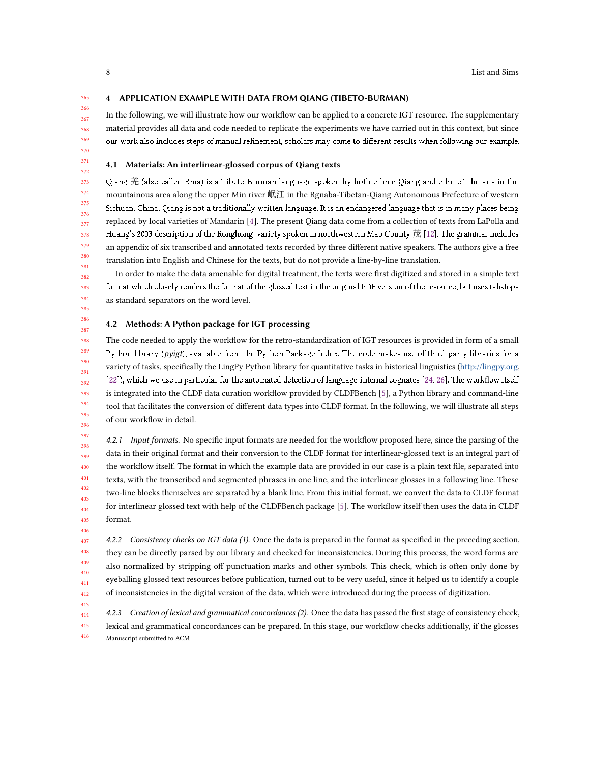4 APPLICATION EXAMPLE WITH DATA FROM QIANG (TIBETO-BURMAN)

In the following, we will illustrate how our workflow can be applied to a concrete IGT resource. The supplementary material provides all data and code needed to replicate the experiments we have carried out in this context, but since our work also includes steps of manual refinement, scholars may come to different results when following our example.

#### 4.1 Materials: An interlinear-glossed corpus of Qiang texts

373 374 375 376 378 379 380 381 Qiang 羌 (also called Rma) is a Tibeto-Burman language spoken by both ethnic Qiang and ethnic Tibetans in the mountainous area along the upper Min river 岷江 in the Rgnaba-Tibetan-Qiang Autonomous Prefecture of western Sichuan, China. Qiang is not a traditionally written language. It is an endangered language that is in many places being replaced by local varieties of Mandarin [4]. The present Qiang data come from a collection of texts from LaPolla and Huang's 2003 description of the Ronghong variety spoken in northwestern Mao County 茂 [12]. The grammar includes an appendix of six transcribed and annotated texts recorded by three different native speakers. The authors give a free translation into English and Chinese for the texts, but do not provide a line-by-line translation.

382 383 384 In order to make the data amenable for digital treatment, the texts were first digitized and stored in a simple text format which closely renders the format of the glossed text in the original PDF version of the resource, but uses tabstops as standard separators on the word level.

#### 4.2 Methods: A Python package for IGT processing

388 389 390 391 392 393 394 395 396 The code needed to apply the workflow for the retro-standardization of IGT resources is provided in form of a small Python library (*pyigt*), available from the Python Package Index. The code makes use of third-party libraries for a variety of tasks, specifically the LingPy Python library for quantitative tasks in historical linguistics (http://lingpy.org, [22]), which we use in particular for the automated detection of language-internal cognates [24, 26]. The workflow itself is integrated into the CLDF data curation workflow provided by CLDFBench [5], a Python library and command-line tool that facilitates the conversion of different data types into CLDF format. In the following, we will illustrate all steps of our workflow in detail.

397 398 399 400 401 402 403 404 405 4.2.1 Input formats. No specific input formats are needed for the workflow proposed here, since the parsing of the data in their original format and their conversion to the CLDF format for interlinear-glossed text is an integral part of the workflow itself. The format in which the example data are provided in our case is a plain text file, separated into texts, with the transcribed and segmented phrases in one line, and the interlinear glosses in a following line. These two-line blocks themselves are separated by a blank line. From this initial format, we convert the data to CLDF format for interlinear glossed text with help of the CLDFBench package [5]. The workflow itself then uses the data in CLDF format.

407 408 409 410 411 412 4.2.2 Consistency checks on IGT data (1). Once the data is prepared in the format as specified in the preceding section, they can be directly parsed by our library and checked for inconsistencies. During this process, the word forms are also normalized by stripping off punctuation marks and other symbols. This check, which is often only done by eyeballing glossed text resources before publication, turned out to be very useful, since it helped us to identify a couple of inconsistencies in the digital version of the data, which were introduced during the process of digitization.

414 415 416 4.2.3 Creation of lexical and grammatical concordances (2). Once the data has passed the first stage of consistency check, lexical and grammatical concordances can be prepared. In this stage, our workflow checks additionally, if the glosses Manuscript submitted to ACM

377

385 386 387

406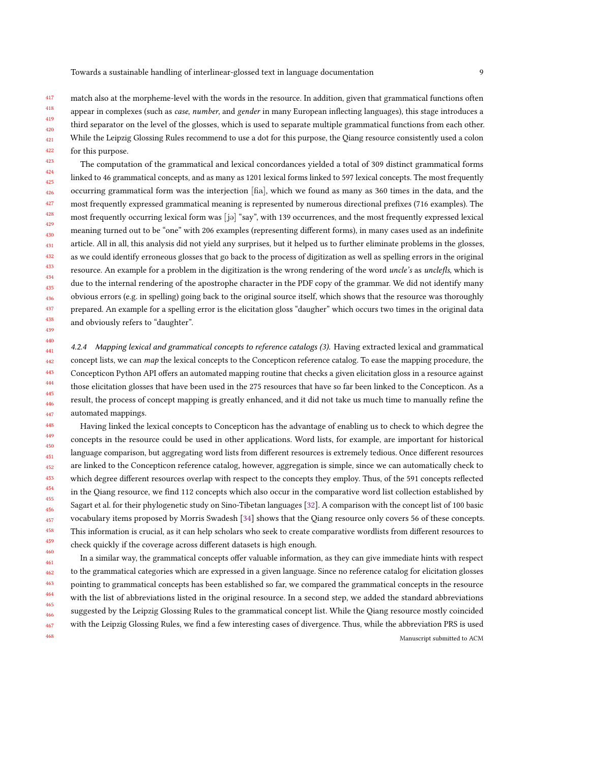match also at the morpheme-level with the words in the resource. In addition, given that grammatical functions often appear in complexes (such as case, number, and gender in many European inflecting languages), this stage introduces a third separator on the level of the glosses, which is used to separate multiple grammatical functions from each other. While the Leipzig Glossing Rules recommend to use a dot for this purpose, the Qiang resource consistently used a colon for this purpose.

423 424 425 426 427 428 429 430 431 432 433 434 435 436 437 438 439 The computation of the grammatical and lexical concordances yielded a total of 309 distinct grammatical forms linked to 46 grammatical concepts, and as many as 1201 lexical forms linked to 597 lexical concepts. The most frequently occurring grammatical form was the interjection [Ha], which we found as many as 360 times in the data, and the most frequently expressed grammatical meaning is represented by numerous directional prefixes (716 examples). The most frequently occurring lexical form was  $[j\phi]$  "say", with 139 occurrences, and the most frequently expressed lexical meaning turned out to be "one" with 206 examples (representing different forms), in many cases used as an indefinite article. All in all, this analysis did not yield any surprises, but it helped us to further eliminate problems in the glosses, as we could identify erroneous glosses that go back to the process of digitization as well as spelling errors in the original resource. An example for a problem in the digitization is the wrong rendering of the word uncle's as unclefls, which is due to the internal rendering of the apostrophe character in the PDF copy of the grammar. We did not identify many obvious errors (e.g. in spelling) going back to the original source itself, which shows that the resource was thoroughly prepared. An example for a spelling error is the elicitation gloss "daugher" which occurs two times in the original data and obviously refers to "daughter".

4.2.4 Mapping lexical and grammatical concepts to reference catalogs (3). Having extracted lexical and grammatical concept lists, we can *map* the lexical concepts to the Concepticon reference catalog. To ease the mapping procedure, the Concepticon Python API offers an automated mapping routine that checks a given elicitation gloss in a resource against those elicitation glosses that have been used in the 275 resources that have so far been linked to the Concepticon. As a result, the process of concept mapping is greatly enhanced, and it did not take us much time to manually refine the automated mappings.

448 449 450 451 452 453 454 455 456 457 458 459 460 Having linked the lexical concepts to Concepticon has the advantage of enabling us to check to which degree the concepts in the resource could be used in other applications. Word lists, for example, are important for historical language comparison, but aggregating word lists from different resources is extremely tedious. Once different resources are linked to the Concepticon reference catalog, however, aggregation is simple, since we can automatically check to which degree different resources overlap with respect to the concepts they employ. Thus, of the 591 concepts reflected in the Qiang resource, we find 112 concepts which also occur in the comparative word list collection established by Sagart et al. for their phylogenetic study on Sino-Tibetan languages [32]. A comparison with the concept list of 100 basic vocabulary items proposed by Morris Swadesh [34] shows that the Qiang resource only covers 56 of these concepts. This information is crucial, as it can help scholars who seek to create comparative wordlists from different resources to check quickly if the coverage across different datasets is high enough.

461 462 463 464 465 466 467 468 In a similar way, the grammatical concepts offer valuable information, as they can give immediate hints with respect to the grammatical categories which are expressed in a given language. Since no reference catalog for elicitation glosses pointing to grammatical concepts has been established so far, we compared the grammatical concepts in the resource with the list of abbreviations listed in the original resource. In a second step, we added the standard abbreviations suggested by the Leipzig Glossing Rules to the grammatical concept list. While the Qiang resource mostly coincided with the Leipzig Glossing Rules, we find a few interesting cases of divergence. Thus, while the abbreviation PRS is used Manuscript submitted to ACM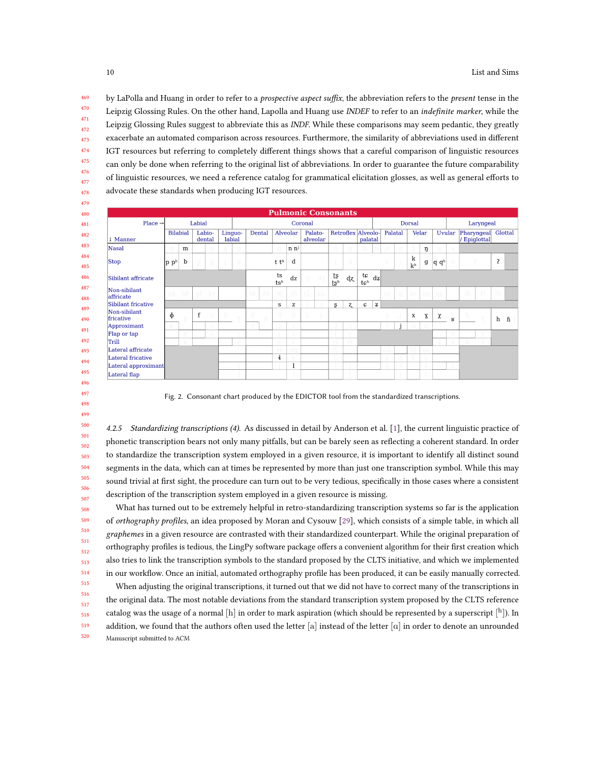by LaPolla and Huang in order to refer to a prospective aspect suffix, the abbreviation refers to the present tense in the Leipzig Glossing Rules. On the other hand, Lapolla and Huang use INDEF to refer to an indefinite marker, while the Leipzig Glossing Rules suggest to abbreviate this as *INDF*. While these comparisons may seem pedantic, they greatly exacerbate an automated comparison across resources. Furthermore, the similarity of abbreviations used in different IGT resources but referring to completely different things shows that a careful comparison of linguistic resources can only be done when referring to the original list of abbreviations. In order to guarantee the future comparability of linguistic resources, we need a reference catalog for grammatical elicitation glosses, as well as general efforts to advocate these standards when producing IGT resources.

|                           |                             |                         |             |                  |          |                   |           |        |               |                  |    |                     | <b>Pulmonic Consonants</b> |             |                               |                                       |         |     |                     |                |                  |              |            |                   |                |                     |
|---------------------------|-----------------------------|-------------------------|-------------|------------------|----------|-------------------|-----------|--------|---------------|------------------|----|---------------------|----------------------------|-------------|-------------------------------|---------------------------------------|---------|-----|---------------------|----------------|------------------|--------------|------------|-------------------|----------------|---------------------|
| Place $\rightarrow$       | Labial                      |                         |             | Coronal          |          |                   |           |        |               |                  |    |                     | Dorsal                     |             |                               |                                       |         |     |                     | Laryngeal      |                  |              |            |                   |                |                     |
| Manner                    | <b>Bilabial</b>             |                         |             | Labio-<br>dental |          | Linguo-<br>labial |           | Dental |               | Alveolar         |    | Palato-<br>alveolar |                            |             | Retroflex Alveolo-<br>palatal |                                       | Palatal |     |                     | Velar          |                  | Uvular       | Pharyngeal | <b>Epiglottal</b> | Glottal        |                     |
| Nasal                     |                             | m                       |             | m                | 'n.      | n                 |           |        | n             | n n <sup>j</sup> |    |                     | n                          | n.          | n.                            |                                       | n       | n.  | n                   | ŋ              |                  | N            |            |                   |                |                     |
| <b>Stop</b>               | $ {\bf p} {\bf p}^{\rm h} $ | $\mathbf b$             | $\rm p$     | þ                | t        | - d               |           |        | t th          | d                |    |                     | t                          | d           |                               |                                       | $\circ$ | Ĵ.  | k<br>k <sub>h</sub> | $\mathbf g$    | q q <sup>h</sup> | $_{\rm G}$   |            | 3                 | $\overline{1}$ |                     |
| Sibilant affricate        |                             |                         |             |                  |          |                   |           |        | ts<br>tsh     | dz               |    | tſ dʒ               | ts<br>t s <sup>h</sup>     | dz          | te<br>tc <sup>h</sup>         | $\left  \mathrm{d}\mathbf{z} \right $ |         |     |                     |                |                  |              |            |                   |                |                     |
| Non-sibilant<br>affricate |                             | $p\ddot{\phi}$ $b\beta$ |             | pf by            |          |                   | $t\theta$ | dð     | tθ            | dð               |    | ti dr               |                            |             |                               |                                       | CC      | -ti | kx.                 |                | $gx$ $qx$        |              | 2h         | 2S                | ?h             |                     |
| Sibilant fricative        |                             |                         |             |                  |          |                   |           |        | s             | z                |    |                     | Ş                          | $Z_{\rm L}$ | <b>G</b>                      | $\mathbf{z}$                          |         |     |                     |                |                  |              |            |                   |                |                     |
| Non-sibilant<br>fricative | $\Phi$                      |                         | $\mathbf f$ | X7               | $\theta$ |                   | $\theta$  | ð      | $\theta$      | ð                | ů. | $\rm Jx$            |                            |             |                               |                                       |         |     | $\mathbf x$         | X              | χ                | $\mathbf{R}$ | h.         | - C               | h              | $f_1$ $\rightarrow$ |
| Approximant               |                             |                         |             | $\exists$        |          |                   |           |        |               | J.               |    |                     |                            |             |                               |                                       |         |     |                     | $\overline{u}$ |                  |              |            |                   |                |                     |
| Flap or tap               |                             | N.C                     |             | M                |          |                   |           |        |               | £.               |    |                     |                            | T3          |                               |                                       |         |     |                     |                |                  | Ġ            |            |                   |                |                     |
| Trill                     |                             | B.                      |             |                  |          |                   |           |        | <b>TO</b>     | $\Gamma$         |    |                     | m                          | m           |                               |                                       |         |     |                     |                |                  | R            | $\,$ H     |                   |                |                     |
| Lateral affricate         |                             |                         |             |                  |          |                   |           |        |               | dk               |    |                     |                            |             |                               |                                       |         |     |                     | $\sigma$       |                  |              |            |                   |                |                     |
| Lateral fricative         |                             |                         |             |                  |          |                   |           |        | $\frac{1}{2}$ |                  |    |                     |                            |             |                               |                                       | A       |     |                     |                |                  |              |            |                   |                |                     |
| Lateral approximant       |                             |                         |             |                  |          |                   |           |        |               |                  |    |                     | $\alpha$                   |             |                               |                                       |         |     |                     |                |                  | L            |            |                   |                |                     |
| Lateral flap              |                             |                         |             |                  |          |                   |           |        |               |                  |    |                     |                            |             |                               |                                       |         |     |                     | Œ.             |                  |              |            |                   |                |                     |

Fig. 2. Consonant chart produced by the EDICTOR tool from the standardized transcriptions.

4.2.5 Standardizing transcriptions (4). As discussed in detail by Anderson et al. [1], the current linguistic practice of phonetic transcription bears not only many pitfalls, but can be barely seen as reflecting a coherent standard. In order to standardize the transcription system employed in a given resource, it is important to identify all distinct sound segments in the data, which can at times be represented by more than just one transcription symbol. While this may sound trivial at first sight, the procedure can turn out to be very tedious, specifically in those cases where a consistent description of the transcription system employed in a given resource is missing.

What has turned out to be extremely helpful in retro-standardizing transcription systems so far is the application of orthography profiles, an idea proposed by Moran and Cysouw [29], which consists of a simple table, in which all graphemes in a given resource are contrasted with their standardized counterpart. While the original preparation of orthography profiles is tedious, the LingPy software package offers a convenient algorithm for their first creation which also tries to link the transcription symbols to the standard proposed by the CLTS initiative, and which we implemented in our workflow. Once an initial, automated orthography profile has been produced, it can be easily manually corrected.

 When adjusting the original transcriptions, it turned out that we did not have to correct many of the transcriptions in the original data. The most notable deviations from the standard transcription system proposed by the CLTS reference catalog was the usage of a normal  $[\rm{h}]$  in order to mark aspiration (which should be represented by a superscript  $[\rm{^h}]$ ). In addition, we found that the authors often used the letter [a] instead of the letter  $\alpha$ ] in order to denote an unrounded Manuscript submitted to ACM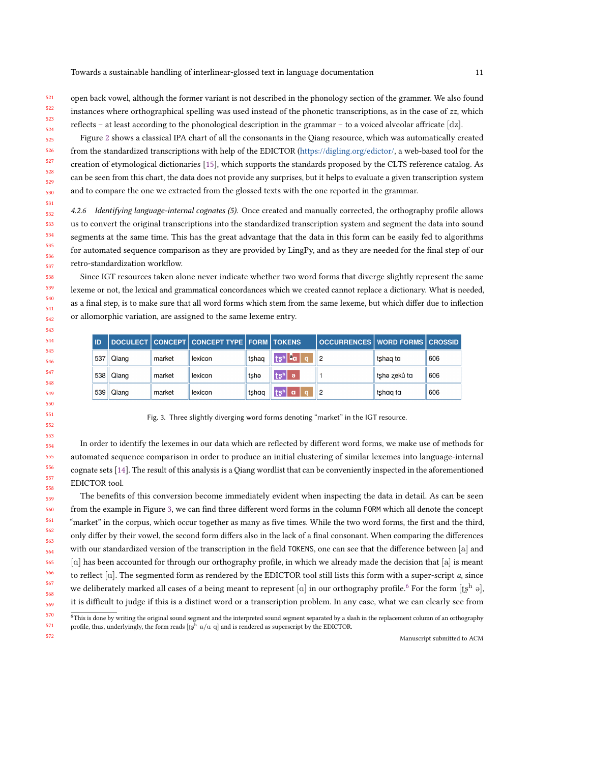open back vowel, although the former variant is not described in the phonology section of the grammer. We also found instances where orthographical spelling was used instead of the phonetic transcriptions, as in the case of zz, which reflects – at least according to the phonological description in the grammar – to a voiced alveolar affricate [dz].

 Figure 2 shows a classical IPA chart of all the consonants in the Qiang resource, which was automatically created from the standardized transcriptions with help of the EDICTOR (https://digling.org/edictor/, a web-based tool for the creation of etymological dictionaries [15], which supports the standards proposed by the CLTS reference catalog. As can be seen from this chart, the data does not provide any surprises, but it helps to evaluate a given transcription system and to compare the one we extracted from the glossed texts with the one reported in the grammar.

4.2.6 Identifying language-internal cognates (5). Once created and manually corrected, the orthography profile allows us to convert the original transcriptions into the standardized transcription system and segment the data into sound segments at the same time. This has the great advantage that the data in this form can be easily fed to algorithms for automated sequence comparison as they are provided by LingPy, and as they are needed for the final step of our retro-standardization workflow.

Since IGT resources taken alone never indicate whether two word forms that diverge slightly represent the same lexeme or not, the lexical and grammatical concordances which we created cannot replace a dictionary. What is needed, as a final step, is to make sure that all word forms which stem from the same lexeme, but which differ due to inflection or allomorphic variation, are assigned to the same lexeme entry.

| ID  |       |        | DOCULECT CONCEPT CONCEPT TYPE FORM TOKENS |       |                                       | <b>OCCURRENCES WORD FORMS CROSSID</b> |              |     |
|-----|-------|--------|-------------------------------------------|-------|---------------------------------------|---------------------------------------|--------------|-----|
| 537 | Qiang | market | lexicon                                   | tshag | ' tsʰ  ªα <mark>N</mark><br><b>To</b> |                                       | tshag to     | 606 |
| 538 | Qiang | market | lexicon                                   | tshe  | ts <sup>h</sup><br>l ə                |                                       | tshə zeků ta | 606 |
| 539 | Qiang | market | lexicon                                   | tshaa | tsʰ  a ∣<br><b>d</b>                  |                                       | tshag ta     | 606 |

Fig. 3. Three slightly diverging word forms denoting "market" in the IGT resource.

In order to identify the lexemes in our data which are reflected by different word forms, we make use of methods for automated sequence comparison in order to produce an initial clustering of similar lexemes into language-internal cognate sets [14]. The result of this analysis is a Qiang wordlist that can be conveniently inspected in the aforementioned EDICTOR tool.

The benefits of this conversion become immediately evident when inspecting the data in detail. As can be seen from the example in Figure 3, we can find three different word forms in the column FORM which all denote the concept "market" in the corpus, which occur together as many as five times. While the two word forms, the first and the third, only differ by their vowel, the second form differs also in the lack of a final consonant. When comparing the differences with our standardized version of the transcription in the field TOKENS, one can see that the difference between [a] and [a] has been accounted for through our orthography profile, in which we already made the decision that [a] is meant to reflect  $[a]$ . The segmented form as rendered by the EDICTOR tool still lists this form with a super-script  $a$ , since we deliberately marked all cases of a being meant to represent [a] in our orthography profile.<sup>6</sup> For the form [tsh]  $\Theta$ , it is difficult to judge if this is a distinct word or a transcription problem. In any case, what we can clearly see from

 This is done by writing the original sound segment and the interpreted sound segment separated by a slash in the replacement column of an orthography profile, thus, underlyingly, the form reads  $[t^{\overline{h}}_s \ a/\alpha \ q]$  and is rendered as superscript by the EDICTOR.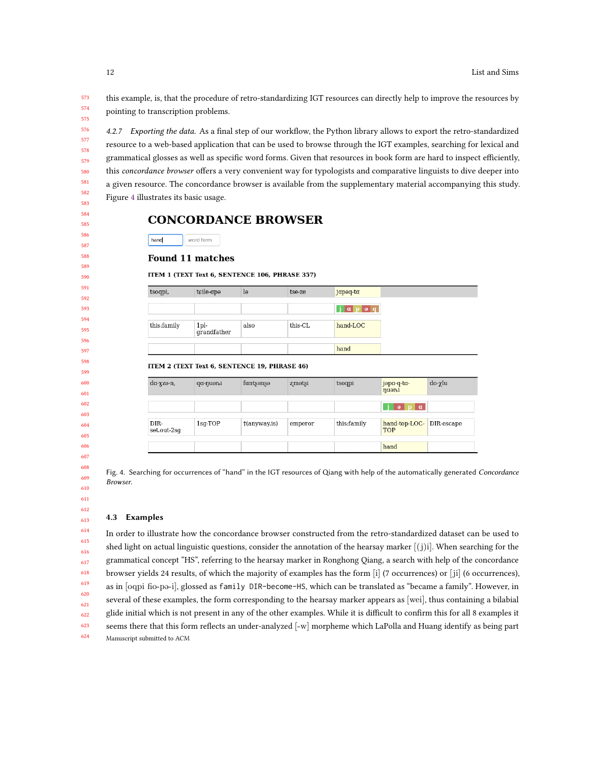this example, is, that the procedure of retro-standardizing IGT resources can directly help to improve the resources by pointing to transcription problems.

 4.2.7 Exporting the data. As a final step of our workflow, the Python library allows to export the retro-standardized resource to a web-based application that can be used to browse through the IGT examples, searching for lexical and grammatical glosses as well as specific word forms. Given that resources in book form are hard to inspect efficiently, this concordance browser offers a very convenient way for typologists and comparative linguists to dive deeper into a given resource. The concordance browser is available from the supplementary material accompanying this study. Figure 4 illustrates its basic usage.

# **CONCORDANCE BROWSER**

hand word form

### **Found 11 matches**

#### ITEM 1 (TEXT Text 6, SENTENCE 106, PHRASE 357)

| tsoqpi,             | tcile-apo                                    | $l_{\theta}$           | tse-ze   | japoq-ta                      |                             |            |
|---------------------|----------------------------------------------|------------------------|----------|-------------------------------|-----------------------------|------------|
|                     |                                              |                        |          | $j$ $\alpha$ $p$ $\alpha$ $q$ |                             |            |
| this:family         | 1 <sub>pl</sub><br>grandfather               | also                   | this-CI. | hand-LOC                      |                             |            |
|                     |                                              |                        |          | hand                          |                             |            |
|                     | ITEM 2 (TEXT Text 6, SENTENCE 19, PHRASE 46) |                        |          |                               |                             |            |
| da-xzə-n,           | qa-nuəni                                     | fantsonso              | zmətsi   | tsoqpi                        | jəpa-q-ta-                  | do-χlu     |
|                     |                                              |                        |          |                               | nuoni                       |            |
|                     |                                              |                        |          |                               | $p \mid a$<br>$\theta$      |            |
| DIR-<br>set.out-2sg | $1$ sg-TOP                                   | $\uparrow$ (anyway.is) | emperor  | this:family                   | hand-top-LOC-<br><b>TOP</b> | DIR-escape |

Fig. 4. Searching for occurrences of "hand" in the IGT resources of Qiang with help of the automatically generated Concordance Browser.

#### 4.3 Examples

 In order to illustrate how the concordance browser constructed from the retro-standardized dataset can be used to shed light on actual linguistic questions, consider the annotation of the hearsay marker  $[(i)]$ . When searching for the grammatical concept "HS", referring to the hearsay marker in Ronghong Qiang, a search with help of the concordance browser yields 24 results, of which the majority of examples has the form [i] (7 occurrences) or [ ji] (6 occurrences), as in [oqpi fio-po-i], glossed as family DIR-become-HS, which can be translated as "became a family". However, in several of these examples, the form corresponding to the hearsay marker appears as [wei], thus containing a bilabial glide initial which is not present in any of the other examples. While it is difficult to confirm this for all 8 examples it seems there that this form reflects an under-analyzed [-w] morpheme which LaPolla and Huang identify as being part Manuscript submitted to ACM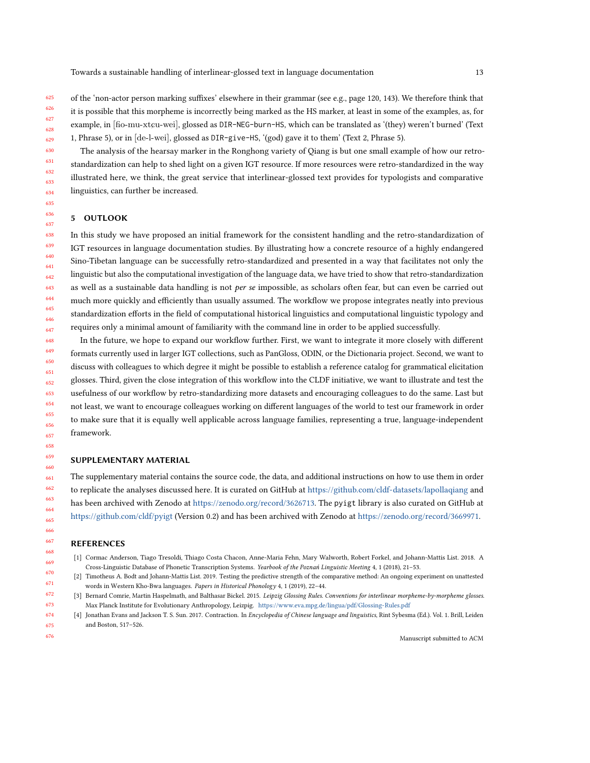625 626 627 628 629 of the 'non-actor person marking suffixes' elsewhere in their grammar (see e.g., page 120, 143). We therefore think that it is possible that this morpheme is incorrectly being marked as the HS marker, at least in some of the examples, as, for example, in [fio-mu-xtcu-wei], glossed as DIR-NEG-burn-HS, which can be translated as '(they) weren't burned' (Text 1, Phrase 5), or in [de-l-wei], glossed as DIR-give-HS, '(god) gave it to them' (Text 2, Phrase 5).

The analysis of the hearsay marker in the Ronghong variety of Qiang is but one small example of how our retrostandardization can help to shed light on a given IGT resource. If more resources were retro-standardized in the way illustrated here, we think, the great service that interlinear-glossed text provides for typologists and comparative linguistics, can further be increased.

#### 5 OUTLOOK

638 639 640 641 642 643 644 645 646 647 In this study we have proposed an initial framework for the consistent handling and the retro-standardization of IGT resources in language documentation studies. By illustrating how a concrete resource of a highly endangered Sino-Tibetan language can be successfully retro-standardized and presented in a way that facilitates not only the linguistic but also the computational investigation of the language data, we have tried to show that retro-standardization as well as a sustainable data handling is not per se impossible, as scholars often fear, but can even be carried out much more quickly and efficiently than usually assumed. The workflow we propose integrates neatly into previous standardization efforts in the field of computational historical linguistics and computational linguistic typology and requires only a minimal amount of familiarity with the command line in order to be applied successfully.

648 649 650 651 652 653 654 655 656 657 In the future, we hope to expand our workflow further. First, we want to integrate it more closely with different formats currently used in larger IGT collections, such as PanGloss, ODIN, or the Dictionaria project. Second, we want to discuss with colleagues to which degree it might be possible to establish a reference catalog for grammatical elicitation glosses. Third, given the close integration of this workflow into the CLDF initiative, we want to illustrate and test the usefulness of our workflow by retro-standardizing more datasets and encouraging colleagues to do the same. Last but not least, we want to encourage colleagues working on different languages of the world to test our framework in order to make sure that it is equally well applicable across language families, representing a true, language-independent framework.

#### SUPPLEMENTARY MATERIAL

The supplementary material contains the source code, the data, and additional instructions on how to use them in order to replicate the analyses discussed here. It is curated on GitHub at https://github.com/cldf-datasets/lapollaqiang and has been archived with Zenodo at https://zenodo.org/record/3626713. The pyigt library is also curated on GitHub at https://github.com/cldf/pyigt (Version 0.2) and has been archived with Zenodo at https://zenodo.org/record/3669971.

#### REFERENCES

- [1] Cormac Anderson, Tiago Tresoldi, Thiago Costa Chacon, Anne-Maria Fehn, Mary Walworth, Robert Forkel, and Johann-Mattis List. 2018. A Cross-Linguistic Database of Phonetic Transcription Systems. Yearbook of the Poznań Linguistic Meeting 4, 1 (2018), 21–53.
- [2] Timotheus A. Bodt and Johann-Mattis List. 2019. Testing the predictive strength of the comparative method: An ongoing experiment on unattested words in Western Kho-Bwa languages. Papers in Historical Phonology 4, 1 (2019), 22–44.
- [3] Bernard Comrie, Martin Haspelmath, and Balthasar Bickel. 2015. Leipzig Glossing Rules. Conventions for interlinear morpheme-by-morpheme glosses. Max Planck Institute for Evolutionary Anthropology, Leizpig. https://www.eva.mpg.de/lingua/pdf/Glossing-Rules.pdf
- [4] Jonathan Evans and Jackson T. S. Sun. 2017. Contraction. In Encyclopedia of Chinese language and linguistics, Rint Sybesma (Ed.). Vol. 1. Brill, Leiden and Boston, 517–526.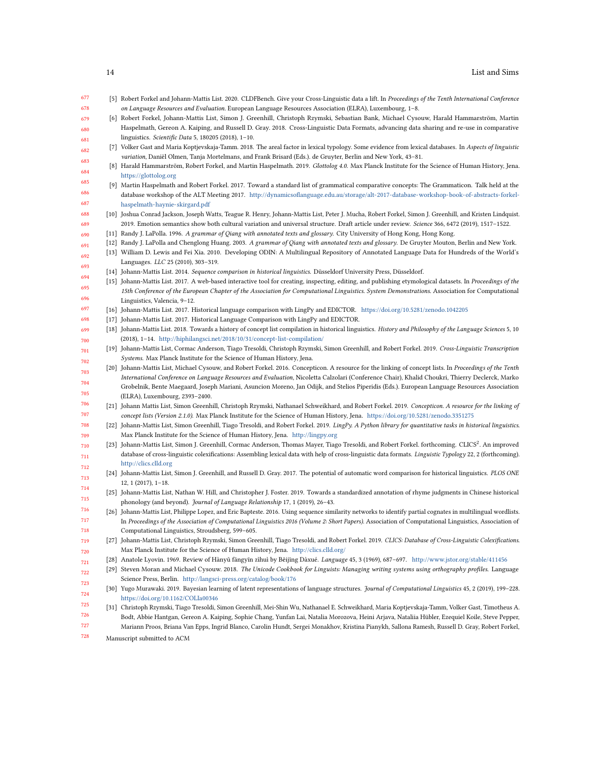| 677 | [5] Robert Forkel and Johann-Mattis List. 2020. CLDFBench. Give your Cross-Linguistic data a lift. In Proceedings of the Tenth International Conference       |
|-----|---------------------------------------------------------------------------------------------------------------------------------------------------------------|
| 678 | on Language Resources and Evaluation. European Language Resources Association (ELRA), Luxembourg, 1-8.                                                        |
| 679 | [6] Robert Forkel, Johann-Mattis List, Simon J. Greenhill, Christoph Rzymski, Sebastian Bank, Michael Cysouw, Harald Hammarström, Martin                      |
| 680 | Haspelmath, Gereon A. Kaiping, and Russell D. Gray. 2018. Cross-Linguistic Data Formats, advancing data sharing and re-use in comparative                     |
| 681 | linguistics. Scientific Data 5, 180205 (2018), 1-10.                                                                                                          |
| 682 | [7] Volker Gast and Maria Koptjevskaja-Tamm. 2018. The areal factor in lexical typology. Some evidence from lexical databases. In Aspects of linguistic       |
| 683 | variation, Daniël Olmen, Tanja Mortelmans, and Frank Brisard (Eds.). de Gruyter, Berlin and New York, 43-81.                                                  |
|     | [8] Harald Hammarström, Robert Forkel, and Martin Haspelmath. 2019. Glottolog 4.0. Max Planck Institute for the Science of Human History, Jena.               |
| 684 | https://glottolog.org                                                                                                                                         |
| 685 | [9] Martin Haspelmath and Robert Forkel. 2017. Toward a standard list of grammatical comparative concepts: The Grammaticon. Talk held at the                  |
| 686 | database workshop of the ALT Meeting 2017. http://dynamicsoflanguage.edu.au/storage/alt-2017-database-workshop-book-of-abstracts-forkel-                      |
| 687 | haspelmath-haynie-skirgard.pdf                                                                                                                                |
| 688 | [10] Joshua Conrad Jackson, Joseph Watts, Teague R. Henry, Johann-Mattis List, Peter J. Mucha, Robert Forkel, Simon J. Greenhill, and Kristen Lindquist.      |
| 689 | 2019. Emotion semantics show both cultural variation and universal structure. Draft article under review. Science 366, 6472 (2019), 1517-1522.                |
| 690 | [11] Randy J. LaPolla. 1996. A grammar of Qiang with annotated texts and glossary. City University of Hong Kong, Hong Kong.                                   |
| 691 | [12] Randy J. LaPolla and Chenglong Huang. 2003. A grammar of Qiang with annotated texts and glossary. De Gruyter Mouton, Berlin and New York.                |
| 692 | [13] William D. Lewis and Fei Xia. 2010. Developing ODIN: A Multilingual Repository of Annotated Language Data for Hundreds of the World's                    |
| 693 | Languages. LLC 25 (2010), 303-319.                                                                                                                            |
|     | [14] Johann-Mattis List. 2014. Sequence comparison in historical linguistics. Düsseldorf University Press, Düsseldorf.                                        |
| 694 | [15] Johann-Mattis List. 2017. A web-based interactive tool for creating, inspecting, editing, and publishing etymological datasets. In Proceedings of the    |
| 695 | 15th Conference of the European Chapter of the Association for Computational Linguistics. System Demonstrations. Association for Computational                |
| 696 | Linguistics, Valencia, 9-12.                                                                                                                                  |
| 697 | [16] Johann-Mattis List. 2017. Historical language comparison with LingPy and EDICTOR. https://doi.org/10.5281/zenodo.1042205                                 |
| 698 | [17] Johann-Mattis List. 2017. Historical Language Comparison with LingPy and EDICTOR.                                                                        |
| 699 | [18] Johann-Mattis List. 2018. Towards a history of concept list compilation in historical linguistics. History and Philosophy of the Language Sciences 5, 10 |
| 700 | (2018), 1-14. http://hiphilangsci.net/2018/10/31/concept-list-compilation/                                                                                    |
| 701 | [19] Johann-Mattis List, Cormac Anderson, Tiago Tresoldi, Christoph Rzymski, Simon Greenhill, and Robert Forkel. 2019. Cross-Linguistic Transcription         |
| 702 | Systems. Max Planck Institute for the Science of Human History, Jena.                                                                                         |
| 703 | [20] Johann-Mattis List, Michael Cysouw, and Robert Forkel. 2016. Concepticon. A resource for the linking of concept lists. In Proceedings of the Tenth       |
|     | International Conference on Language Resources and Evaluation, Nicoletta Calzolari (Conference Chair), Khalid Choukri, Thierry Declerck, Marko                |
| 704 | Grobelnik, Bente Maegaard, Joseph Mariani, Asuncion Moreno, Jan Odijk, and Stelios Piperidis (Eds.). European Language Resources Association                  |
| 705 | (ELRA), Luxembourg, 2393-2400.                                                                                                                                |
| 706 | [21] Johann Mattis List, Simon Greenhill, Christoph Rzymski, Nathanael Schweikhard, and Robert Forkel. 2019. Concepticon. A resource for the linking of       |
| 707 | concept lists (Version 2.1.0). Max Planck Institute for the Science of Human History, Jena. https://doi.org/10.5281/zenodo.3351275                            |
| 708 | [22] Johann-Mattis List, Simon Greenhill, Tiago Tresoldi, and Robert Forkel. 2019. LingPy. A Python library for quantitative tasks in historical linguistics. |
| 709 | Max Planck Institute for the Science of Human History, Jena. http://lingpy.org                                                                                |
| 710 | [23] Johann-Mattis List, Simon J. Greenhill, Cormac Anderson, Thomas Mayer, Tiago Tresoldi, and Robert Forkel. forthcoming. CLICS <sup>2</sup> . An improved  |
| 711 | database of cross-linguistic colexifications: Assembling lexical data with help of cross-linguistic data formats. Linguistic Typology 22, 2 (forthcoming)     |
| 712 | http://clics.clld.org                                                                                                                                         |
|     | [24] Johann-Mattis List, Simon J. Greenhill, and Russell D. Gray. 2017. The potential of automatic word comparison for historical linguistics. PLOS ONE       |
| 713 | $12, 1$ (2017), 1-18.                                                                                                                                         |
| 714 | [25] Johann-Mattis List, Nathan W. Hill, and Christopher J. Foster. 2019. Towards a standardized annotation of rhyme judgments in Chinese historical          |
| 715 | phonology (and beyond). Journal of Language Relationship 17, 1 (2019), 26-43.                                                                                 |
| 716 | [26] Johann-Mattis List, Philippe Lopez, and Eric Bapteste. 2016. Using sequence similarity networks to identify partial cognates in multilingual wordlists.  |
| 717 | In Proceedings of the Association of Computational Linguistics 2016 (Volume 2: Short Papers). Association of Computational Linguistics, Association of        |
| 718 | Computational Linguistics, Stroudsberg, 599-605.                                                                                                              |
| 719 | [27] Johann-Mattis List, Christoph Rzymski, Simon Greenhill, Tiago Tresoldi, and Robert Forkel. 2019. CLICS: Database of Cross-Linguistic Colexifications.    |
| 720 | Max Planck Institute for the Science of Human History, Jena. http://clics.clld.org/                                                                           |
| 721 | [28] Anatole Lyovin. 1969. Review of Hànyǔ fāngyīn zìhuì by Běijīng Dàxué. Language 45, 3 (1969), 687-697. http://www.jstor.org/stable/411456                 |
| 722 | [29] Steven Moran and Michael Cysouw. 2018. The Unicode Cookbook for Linguists: Managing writing systems using orthography profiles. Language                 |
|     | Science Press, Berlin. http://langsci-press.org/catalog/book/176                                                                                              |
| 723 | [30] Yugo Murawaki. 2019. Bayesian learning of latent representations of language structures. Journal of Computational Linguistics 45, 2 (2019), 199-228.     |
| 724 | https://doi.org/10.1162/COLIa00346                                                                                                                            |
| 725 | [31] Christoph Rzymski, Tiago Tresoldi, Simon Greenhill, Mei-Shin Wu, Nathanael E. Schweikhard, Maria Koptjevskaja-Tamm, Volker Gast, Timotheus A             |
| 726 | Bodt, Abbie Hantgan, Gereon A. Kaiping, Sophie Chang, Yunfan Lai, Natalia Morozova, Heini Arjava, Nataliia Hübler, Ezequiel Koile, Steve Pepper,              |
| 727 | Mariann Proos, Briana Van Epps, Ingrid Blanco, Carolin Hundt, Sergei Monakhov, Kristina Pianykh, Sallona Ramesh, Russell D. Gray, Robert Forkel,              |
| 728 | Manuscript submitted to ACM                                                                                                                                   |
|     |                                                                                                                                                               |